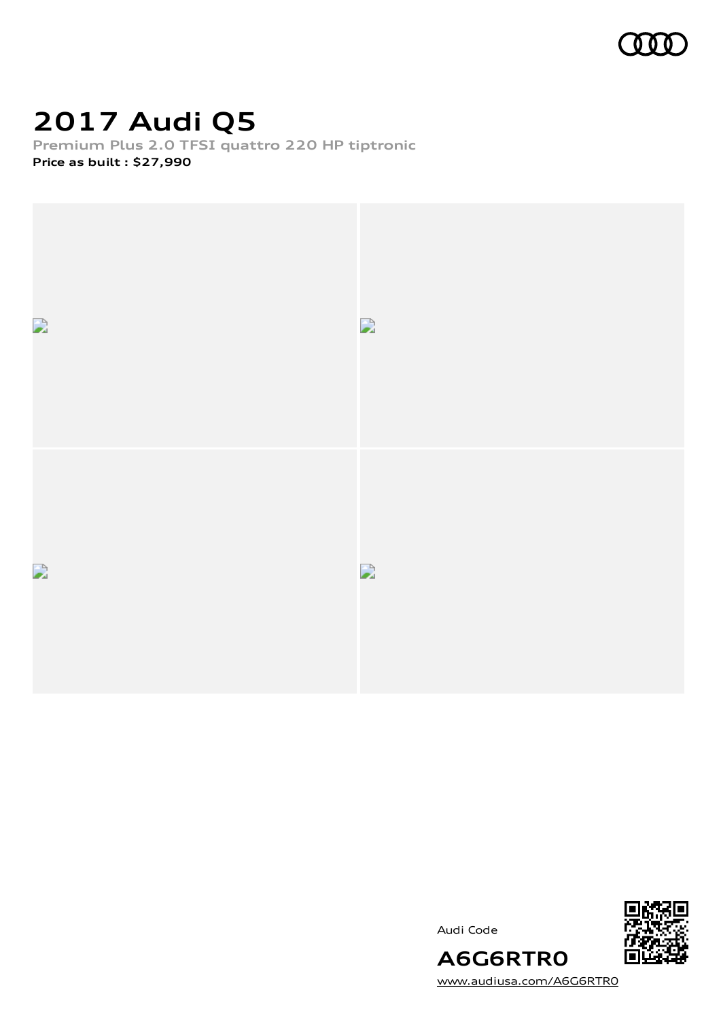

# **2017 Audi Q5**

**Premium Plus 2.0 TFSI quattro 220 HP tiptronic Price as built [:](#page-10-0) \$27,990**



Audi Code



[www.audiusa.com/A6G6RTR0](https://www.audiusa.com/A6G6RTR0)

**A6G6RTR0**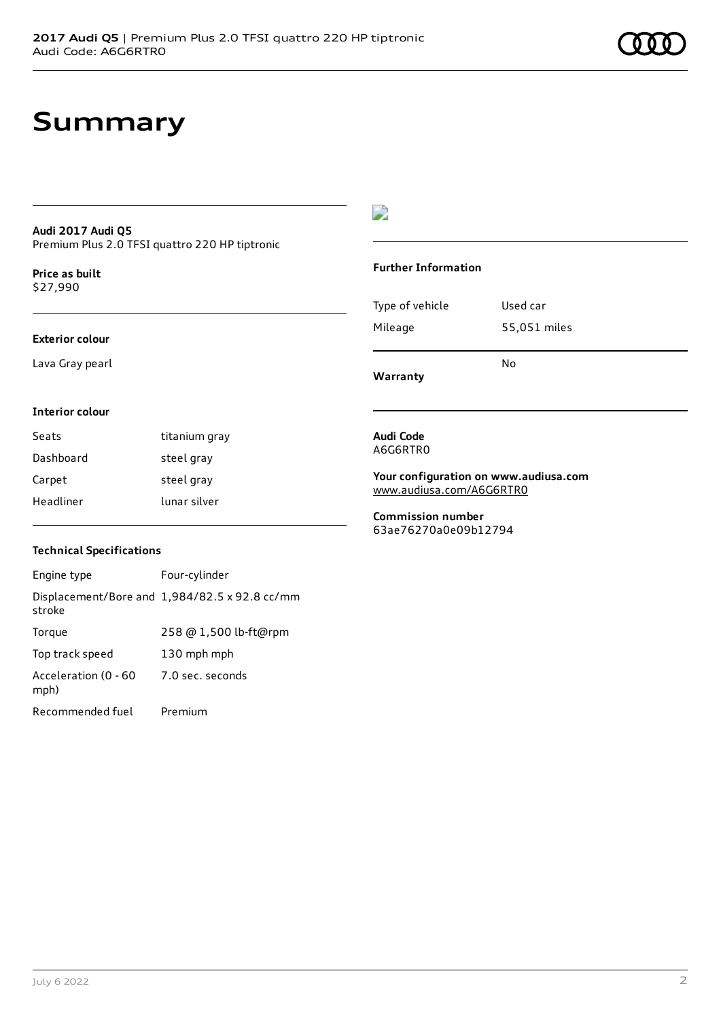### **Summary**

#### **Audi 2017 Audi Q5** Premium Plus 2.0 TFSI quattro 220 HP tiptronic

**Price as buil[t](#page-10-0)** \$27,990

#### **Exterior colour**

Lava Gray pearl

#### $\overline{\phantom{a}}$

#### **Further Information**

|                 | N٥           |
|-----------------|--------------|
| Mileage         | 55,051 miles |
| Type of vehicle | Used car     |

**Warranty**

#### **Interior colour**

| Seats     | titanium gray |
|-----------|---------------|
| Dashboard | steel gray    |
| Carpet    | steel gray    |
| Headliner | lunar silver  |

#### **Technical Specifications**

| Engine type                  | Four-cylinder                                 |
|------------------------------|-----------------------------------------------|
| stroke                       | Displacement/Bore and 1,984/82.5 x 92.8 cc/mm |
| Torque                       | 258 @ 1,500 lb-ft@rpm                         |
| Top track speed              | 130 mph mph                                   |
| Acceleration (0 - 60<br>mph) | 7.0 sec. seconds                              |
| Recommended fuel             | Premium                                       |

#### **Audi Code** A6G6RTR0

**Your configuration on www.audiusa.com** [www.audiusa.com/A6G6RTR0](https://www.audiusa.com/A6G6RTR0)

**Commission number** 63ae76270a0e09b12794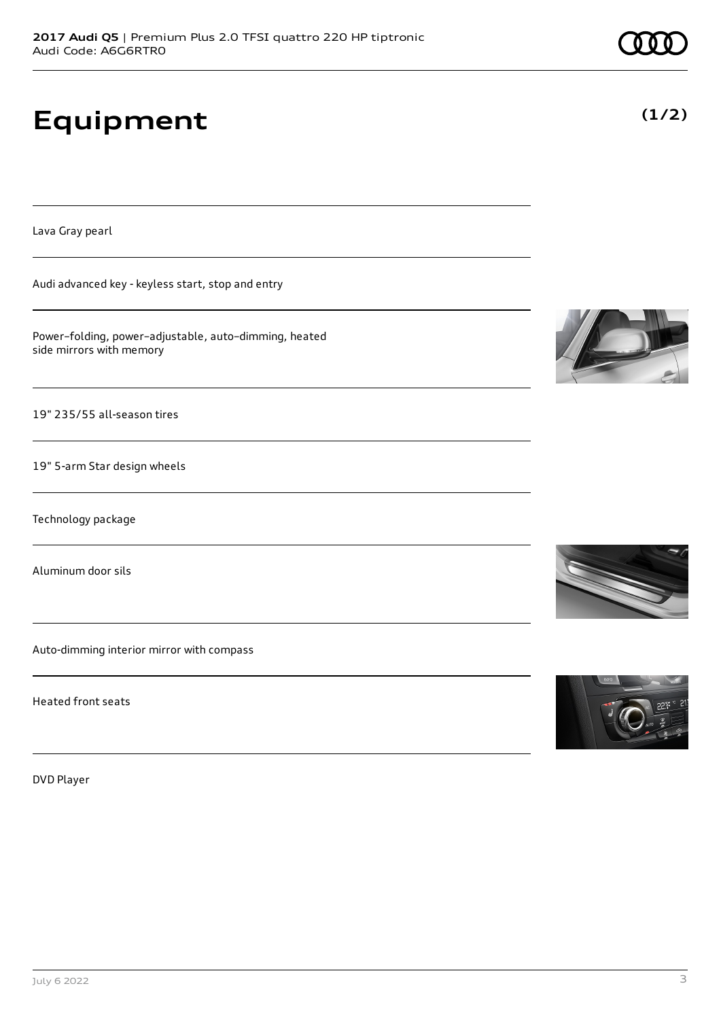# **Equipment**

Lava Gray pearl

Audi advanced key - keyless start, stop and entry

Power–folding, power–adjustable, auto–dimming, heated side mirrors with memory

19" 235/55 all-season tires

19" 5-arm Star design wheels

Technology package

Aluminum door sils

Auto-dimming interior mirror with compass

Heated front seats

DVD Player









**(1/2)**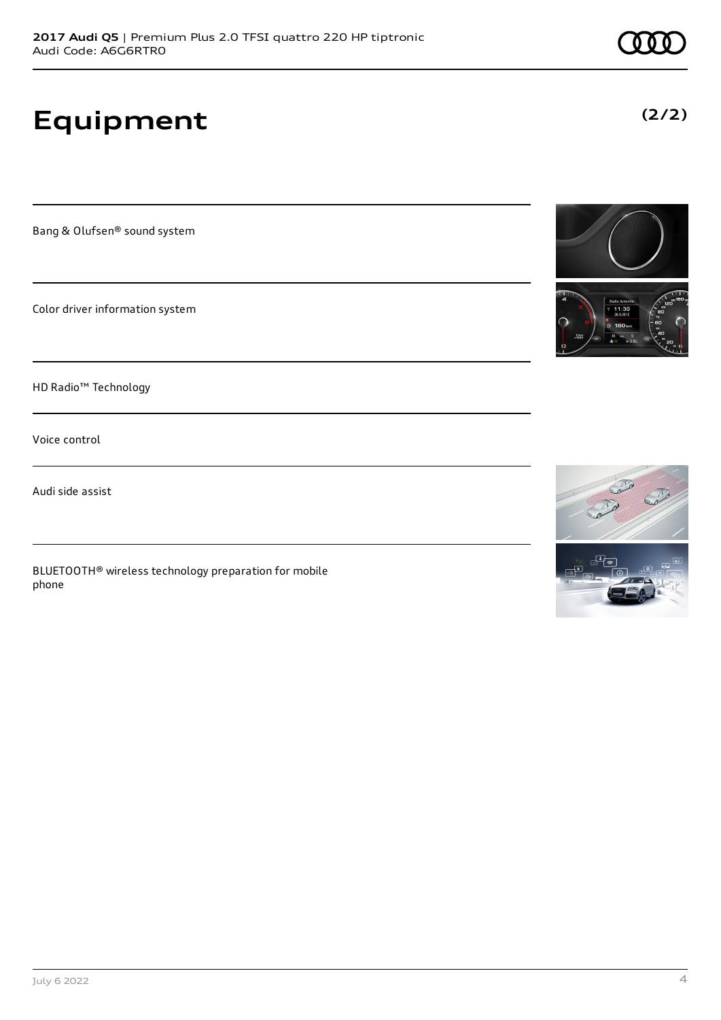# **Equipment**

Bang & Olufsen® sound system

Color driver information system

HD Radio™ Technology

Voice control

Audi side assist

BLUETOOTH® wireless technology preparation for mobile phone





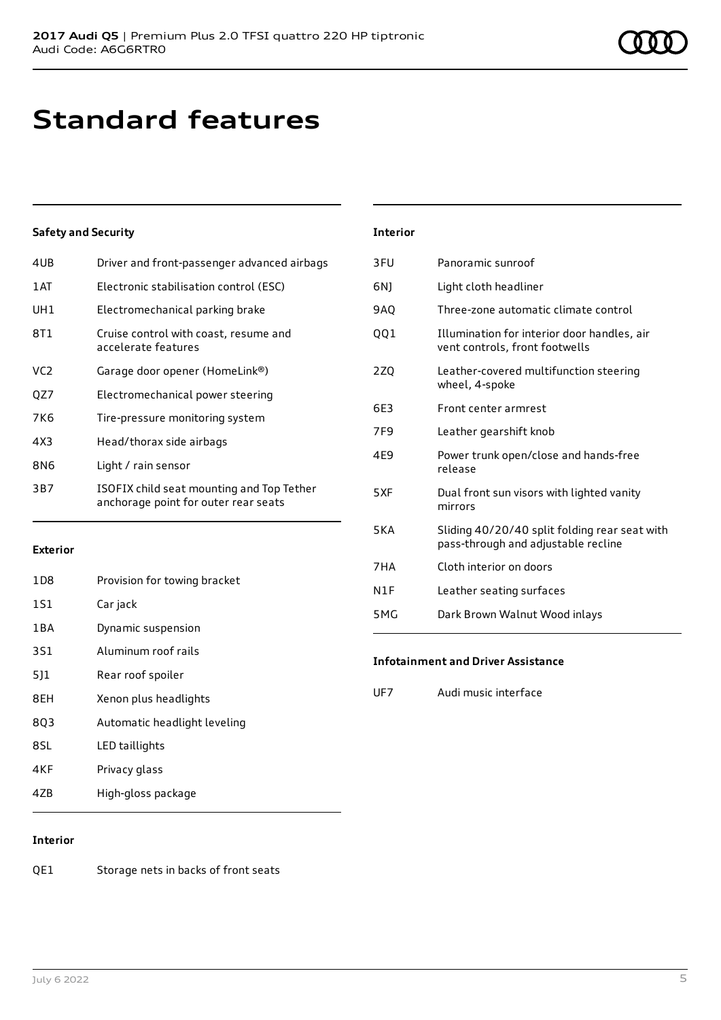# **Standard features**

#### **Safety and Security**

| 4UB | Driver and front-passenger advanced airbags                                       |
|-----|-----------------------------------------------------------------------------------|
| 1AT | Electronic stabilisation control (ESC)                                            |
| UH1 | Electromechanical parking brake                                                   |
| 8T1 | Cruise control with coast, resume and<br>accelerate features                      |
| VC2 | Garage door opener (HomeLink®)                                                    |
| QZ7 | Electromechanical power steering                                                  |
| 7K6 | Tire-pressure monitoring system                                                   |
| 4X3 | Head/thorax side airbags                                                          |
| 8N6 | Light / rain sensor                                                               |
| 3B7 | ISOFIX child seat mounting and Top Tether<br>anchorage point for outer rear seats |

#### **Exterior**

| 1D <sub>8</sub> | Provision for towing bracket |
|-----------------|------------------------------|
| 1S1             | Car jack                     |
| 1BA             | Dynamic suspension           |
| <b>3S1</b>      | Aluminum roof rails          |
| 511             | Rear roof spoiler            |
| 8EH             | Xenon plus headlights        |
| 8Q3             | Automatic headlight leveling |
| 8SL             | LED taillights               |
| 4KF             | Privacy glass                |
| 4ZB             | High-gloss package           |

#### **Interior**

| 3FU        | Panoramic sunroof                                                                    |
|------------|--------------------------------------------------------------------------------------|
| 6N)        | Light cloth headliner                                                                |
| 9AQ        | Three-zone automatic climate control                                                 |
| QQ1        | Illumination for interior door handles, air<br>vent controls, front footwells        |
| 2Z0        | Leather-covered multifunction steering<br>wheel, 4-spoke                             |
| 6E3        | Front center armrest                                                                 |
| 7F9        | Leather gearshift knob                                                               |
| 4E9        | Power trunk open/close and hands-free<br>release                                     |
| 5XF        | Dual front sun visors with lighted vanity<br>mirrors                                 |
| <b>5KA</b> | Sliding 40/20/40 split folding rear seat with<br>pass-through and adjustable recline |
| 7HA        | Cloth interior on doors                                                              |
| N1F        | Leather seating surfaces                                                             |
| 5 M G      | Dark Brown Walnut Wood inlays                                                        |
|            |                                                                                      |

#### **Infotainment and Driver Assistance**

UF7 Audi music interface

#### **Interior**

QE1 Storage nets in backs of front seats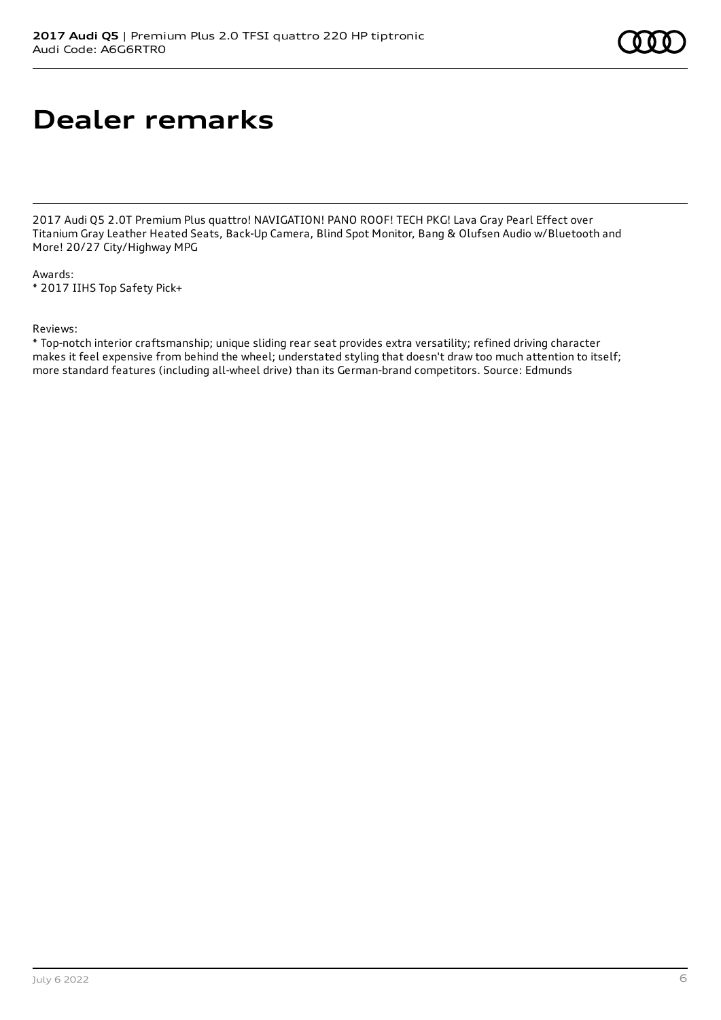# **Dealer remarks**

2017 Audi Q5 2.0T Premium Plus quattro! NAVIGATION! PANO ROOF! TECH PKG! Lava Gray Pearl Effect over Titanium Gray Leather Heated Seats, Back-Up Camera, Blind Spot Monitor, Bang & Olufsen Audio w/Bluetooth and More! 20/27 City/Highway MPG

Awards: \* 2017 IIHS Top Safety Pick+

#### Reviews:

\* Top-notch interior craftsmanship; unique sliding rear seat provides extra versatility; refined driving character makes it feel expensive from behind the wheel; understated styling that doesn't draw too much attention to itself; more standard features (including all-wheel drive) than its German-brand competitors. Source: Edmunds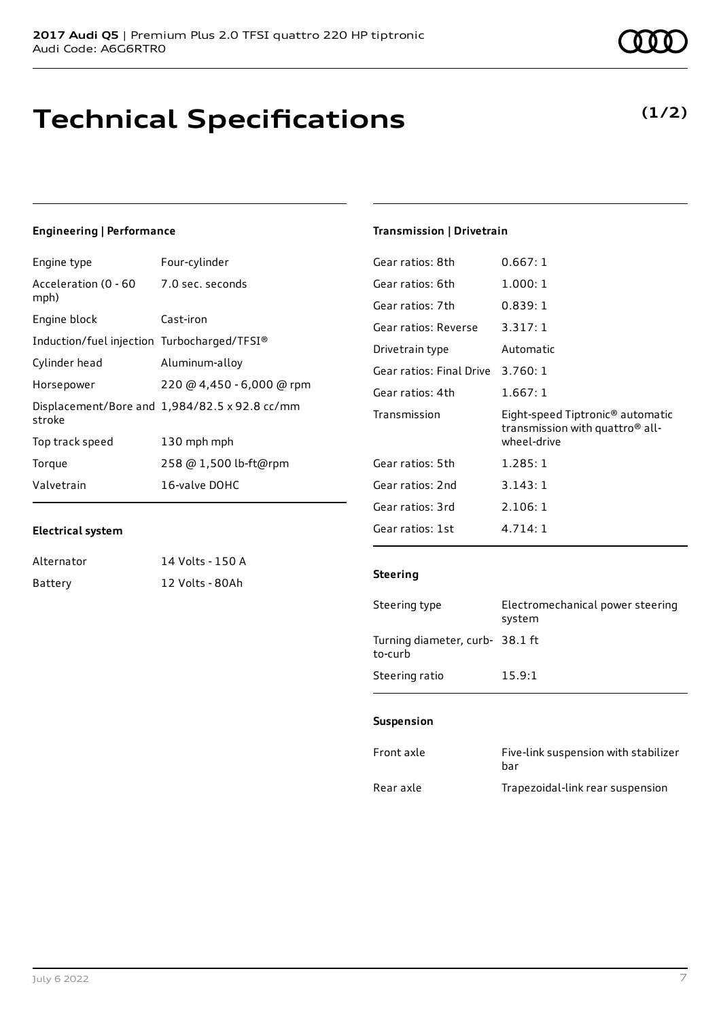# **Technical Specifications**

#### Displ strok

**Engineering | Performance**

Acceleration (0 - 60

mph)

Engine type Four-cylinder

Engine block Cast-iron

| Induction/fuel injection Turbocharged/TFSI® |                                               |
|---------------------------------------------|-----------------------------------------------|
| Cylinder head                               | Aluminum-alloy                                |
| Horsepower                                  | 220 @ 4,450 - 6,000 @ rpm                     |
| stroke                                      | Displacement/Bore and 1,984/82.5 x 92.8 cc/mm |
| Top track speed                             | 130 mph mph                                   |
| Torque                                      | 258 @ 1,500 lb-ft@rpm                         |
| Valvetrain                                  | 16-valve DOHC                                 |

7.0 sec. seconds

#### **Electrical system**

| Alternator | 14 Volts - 150 A |
|------------|------------------|
| Battery    | 12 Volts - 80Ah  |

### **Transmission | Drivetrain**

| Gear ratios: 8th         | 0.667:1                                                                                        |
|--------------------------|------------------------------------------------------------------------------------------------|
| Gear ratios: 6th         | 1.000:1                                                                                        |
| Gear ratios: 7th         | 0.839:1                                                                                        |
| Gear ratios: Reverse     | 3.317:1                                                                                        |
| Drivetrain type          | Automatic                                                                                      |
| Gear ratios: Final Drive | 3.760:1                                                                                        |
| Gear ratios: 4th         | 1.667:1                                                                                        |
| Transmission             | Eight-speed Tiptronic <sup>®</sup> automatic<br>transmission with quattro® all-<br>wheel-drive |
| Gear ratios: 5th         | 1.285:1                                                                                        |
| Gear ratios: 2nd         | 3.143:1                                                                                        |
| Gear ratios: 3rd         | 2.106:1                                                                                        |
| Gear ratios: 1st         | 4.714:1                                                                                        |

#### **Steering**

| Steering type                             | Electromechanical power steering<br>system |
|-------------------------------------------|--------------------------------------------|
| Turning diameter, curb-38.1 ft<br>to-curb |                                            |
| Steering ratio                            | 15.9:1                                     |

#### **Suspension**

| Front axle | Five-link suspension with stabilizer<br>bar |
|------------|---------------------------------------------|
| Rear axle  | Trapezoidal-link rear suspension            |

**(1/2)**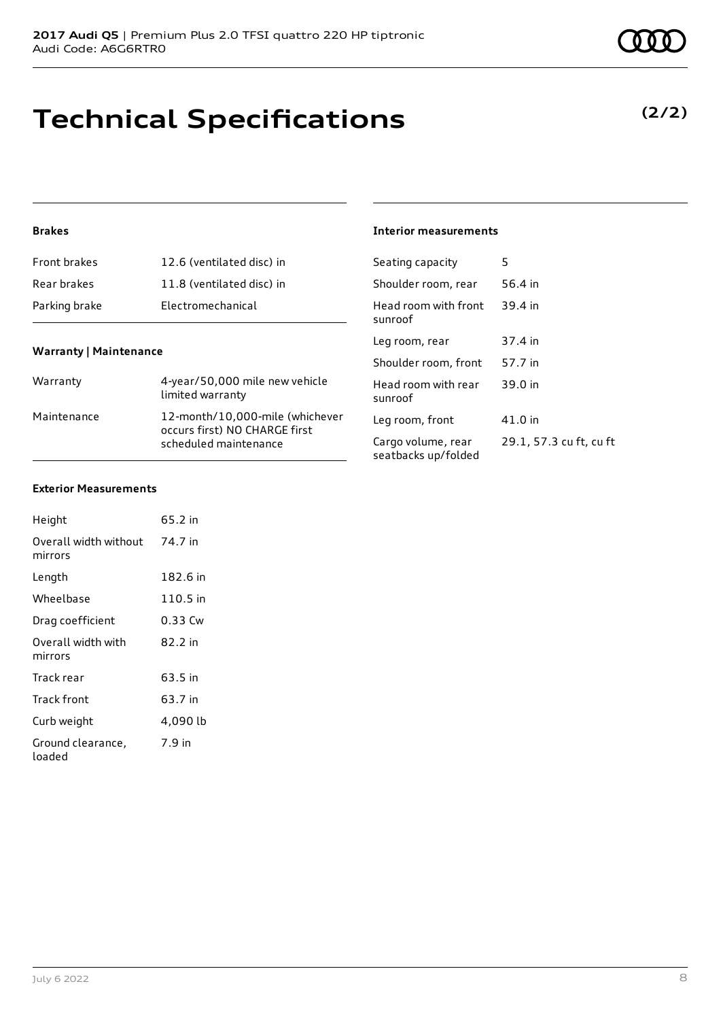# **Technical Specifications**

**Warranty | Maintenance**

**Brakes**

| Warranty    | 4-year/50,000 mile new vehicle<br>limited warranty                                        |
|-------------|-------------------------------------------------------------------------------------------|
| Maintenance | 12-month/10,000-mile (whichever<br>occurs first) NO CHARGE first<br>scheduled maintenance |

Front brakes 12.6 (ventilated disc) in Rear brakes 11.8 (ventilated disc) in

Parking brake **Electromechanical** 

#### **Interior measurements**

| Seating capacity                          | 5                       |
|-------------------------------------------|-------------------------|
| Shoulder room, rear                       | 56.4 in                 |
| Head room with front<br>sunroof           | 39.4 in                 |
| Leg room, rear                            | 37.4 in                 |
| Shoulder room, front                      | 57.7 in                 |
| Head room with rear<br>sunroof            | 39.0 in                 |
| Leg room, front                           | 41.0 in                 |
| Cargo volume, rear<br>seatbacks up/folded | 29.1, 57.3 cu ft, cu ft |

#### **Exterior Measurements**

| Height                           | 65.2 in  |
|----------------------------------|----------|
| Overall width without<br>mirrors | 74.7 in  |
| Length                           | 182.6 in |
| Wheelbase                        | 110.5 in |
| Drag coefficient                 | 0.33 Cw  |
| Overall width with<br>mirrors    | 82.2 in  |
| Track rear                       | 63.5 in  |
| Track front                      | 63.7 in  |
| Curb weight                      | 4,090 lb |
| Ground clearance,<br>loaded      | 7.9 in   |

#### **(2/2)**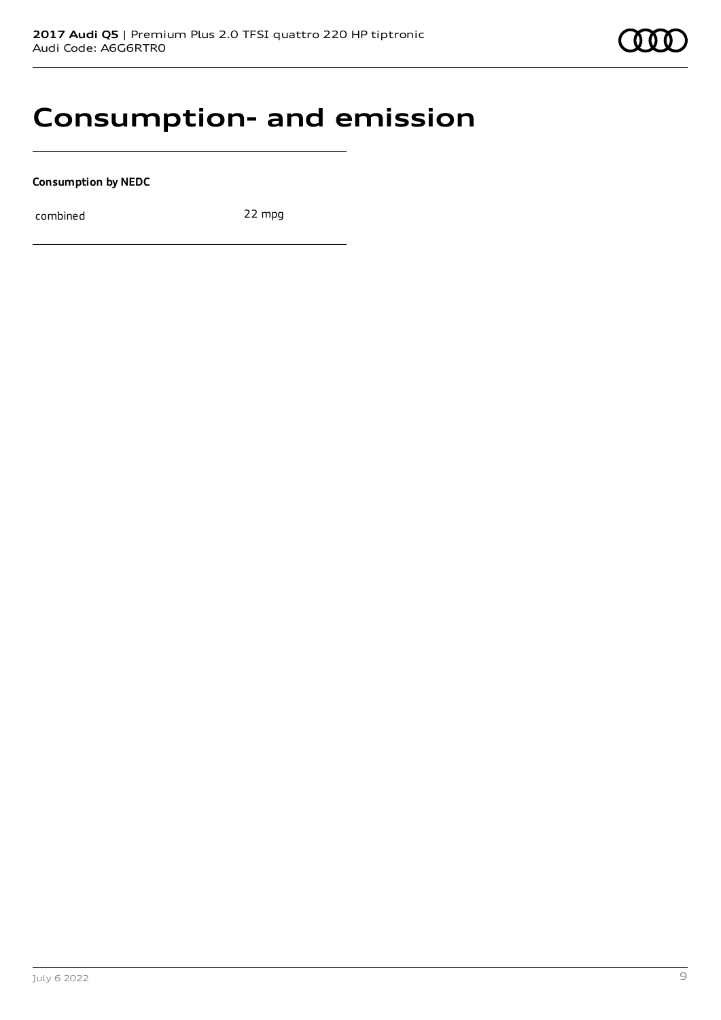

### **Consumption- and emission**

**Consumption by NEDC**

combined 22 mpg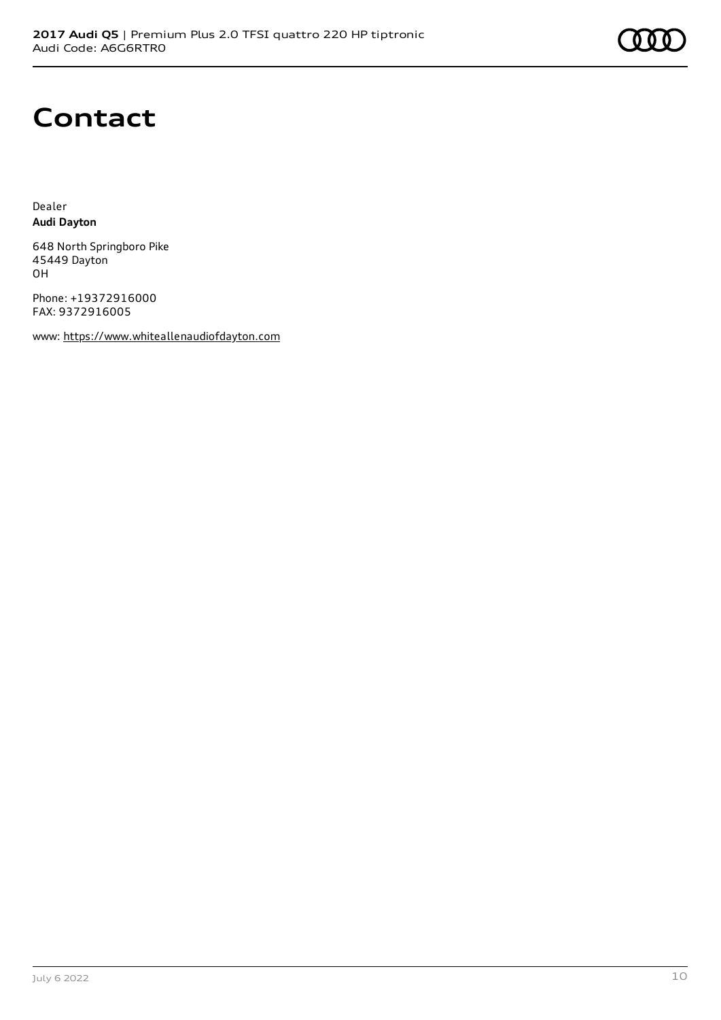# **Contact**

Dealer **Audi Dayton**

648 North Springboro Pike 45449 Dayton OH

Phone: +19372916000 FAX: 9372916005

www: [https://www.whiteallenaudiofdayton.com](https://www.whiteallenaudiofdayton.com/)